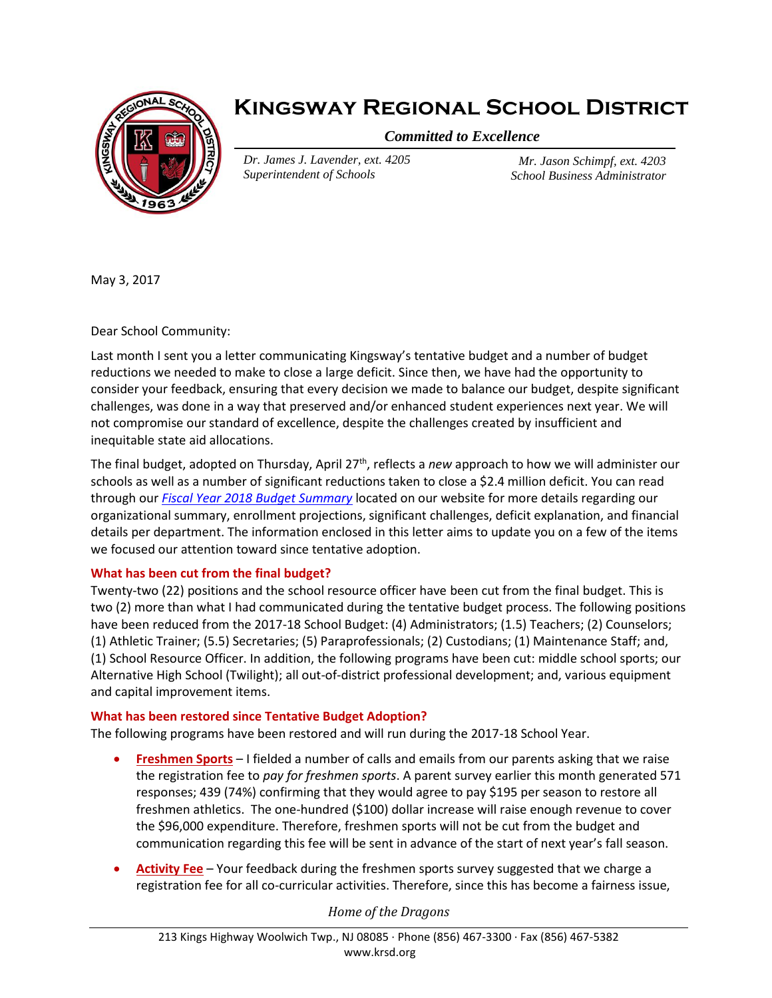

## **Kingsway Regional School District**

*Committed to Excellence*

*Dr. James J. Lavender, ext. 4205 Superintendent of Schools*

*Mr. Jason Schimpf, ext. 4203 School Business Administrator*

May 3, 2017

Dear School Community:

Last month I sent you a letter communicating Kingsway's tentative budget and a number of budget reductions we needed to make to close a large deficit. Since then, we have had the opportunity to consider your feedback, ensuring that every decision we made to balance our budget, despite significant challenges, was done in a way that preserved and/or enhanced student experiences next year. We will not compromise our standard of excellence, despite the challenges created by insufficient and inequitable state aid allocations.

The final budget, adopted on Thursday, April 27<sup>th</sup>, reflects a *new* approach to how we will administer our schools as well as a number of significant reductions taken to close a \$2.4 million deficit. You can read through our *[Fiscal Year 2018 Budget Summary](file://///callisto/staff2/lavenderj/2017-18_Budget_Narrative_-_Final.pdf)* located on our website for more details regarding our organizational summary, enrollment projections, significant challenges, deficit explanation, and financial details per department. The information enclosed in this letter aims to update you on a few of the items we focused our attention toward since tentative adoption.

## **What has been cut from the final budget?**

Twenty-two (22) positions and the school resource officer have been cut from the final budget. This is two (2) more than what I had communicated during the tentative budget process. The following positions have been reduced from the 2017-18 School Budget: (4) Administrators; (1.5) Teachers; (2) Counselors; (1) Athletic Trainer; (5.5) Secretaries; (5) Paraprofessionals; (2) Custodians; (1) Maintenance Staff; and, (1) School Resource Officer. In addition, the following programs have been cut: middle school sports; our Alternative High School (Twilight); all out-of-district professional development; and, various equipment and capital improvement items.

## **What has been restored since Tentative Budget Adoption?**

The following programs have been restored and will run during the 2017-18 School Year.

- **Freshmen Sports** I fielded a number of calls and emails from our parents asking that we raise the registration fee to *pay for freshmen sports*. A parent survey earlier this month generated 571 responses; 439 (74%) confirming that they would agree to pay \$195 per season to restore all freshmen athletics. The one-hundred (\$100) dollar increase will raise enough revenue to cover the \$96,000 expenditure. Therefore, freshmen sports will not be cut from the budget and communication regarding this fee will be sent in advance of the start of next year's fall season.
- **Activity Fee** Your feedback during the freshmen sports survey suggested that we charge a registration fee for all co-curricular activities. Therefore, since this has become a fairness issue,

*Home of the Dragons*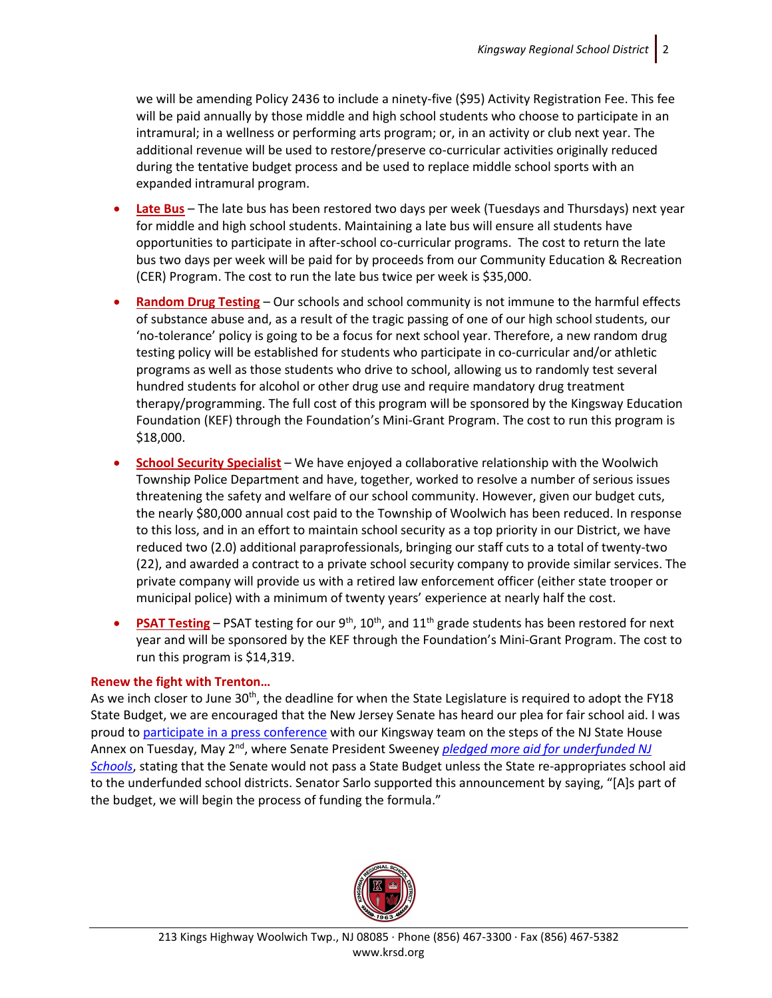we will be amending Policy 2436 to include a ninety-five (\$95) Activity Registration Fee. This fee will be paid annually by those middle and high school students who choose to participate in an intramural; in a wellness or performing arts program; or, in an activity or club next year. The additional revenue will be used to restore/preserve co-curricular activities originally reduced during the tentative budget process and be used to replace middle school sports with an expanded intramural program.

- **Late Bus** The late bus has been restored two days per week (Tuesdays and Thursdays) next year for middle and high school students. Maintaining a late bus will ensure all students have opportunities to participate in after-school co-curricular programs. The cost to return the late bus two days per week will be paid for by proceeds from our Community Education & Recreation (CER) Program. The cost to run the late bus twice per week is \$35,000.
- **Random Drug Testing** Our schools and school community is not immune to the harmful effects of substance abuse and, as a result of the tragic passing of one of our high school students, our 'no-tolerance' policy is going to be a focus for next school year. Therefore, a new random drug testing policy will be established for students who participate in co-curricular and/or athletic programs as well as those students who drive to school, allowing us to randomly test several hundred students for alcohol or other drug use and require mandatory drug treatment therapy/programming. The full cost of this program will be sponsored by the Kingsway Education Foundation (KEF) through the Foundation's Mini-Grant Program. The cost to run this program is \$18,000.
- **School Security Specialist** We have enjoyed a collaborative relationship with the Woolwich Township Police Department and have, together, worked to resolve a number of serious issues threatening the safety and welfare of our school community. However, given our budget cuts, the nearly \$80,000 annual cost paid to the Township of Woolwich has been reduced. In response to this loss, and in an effort to maintain school security as a top priority in our District, we have reduced two (2.0) additional paraprofessionals, bringing our staff cuts to a total of twenty-two (22), and awarded a contract to a private school security company to provide similar services. The private company will provide us with a retired law enforcement officer (either state trooper or municipal police) with a minimum of twenty years' experience at nearly half the cost.
- **PSAT Testing** PSAT testing for our  $9<sup>th</sup>$ , 10<sup>th</sup>, and 11<sup>th</sup> grade students has been restored for next year and will be sponsored by the KEF through the Foundation's Mini-Grant Program. The cost to run this program is \$14,319.

## **Renew the fight with Trenton…**

As we inch closer to June 30<sup>th</sup>, the deadline for when the State Legislature is required to adopt the FY18 State Budget, we are encouraged that the New Jersey Senate has heard our plea for fair school aid. I was proud t[o participate in a press conference](https://www.youtube.com/watch?v=2Rg-Bf9zZoM&t) with our Kingsway team on the steps of the NJ State House Annex on Tuesday, May 2<sup>nd</sup>, where Senate President Sweeney *pledged more aid for underfunded NJ [Schools](http://www.krsd.org/cms/lib8/NJ01912751/Centricity/Domain/375/Sweeney%20Pledges%20More%20Aid%20for%20Underfunded%20NJ%20Schools%20Politicker%205.2.17.pdf)*, stating that the Senate would not pass a State Budget unless the State re-appropriates school aid to the underfunded school districts. Senator Sarlo supported this announcement by saying, "[A]s part of the budget, we will begin the process of funding the formula."